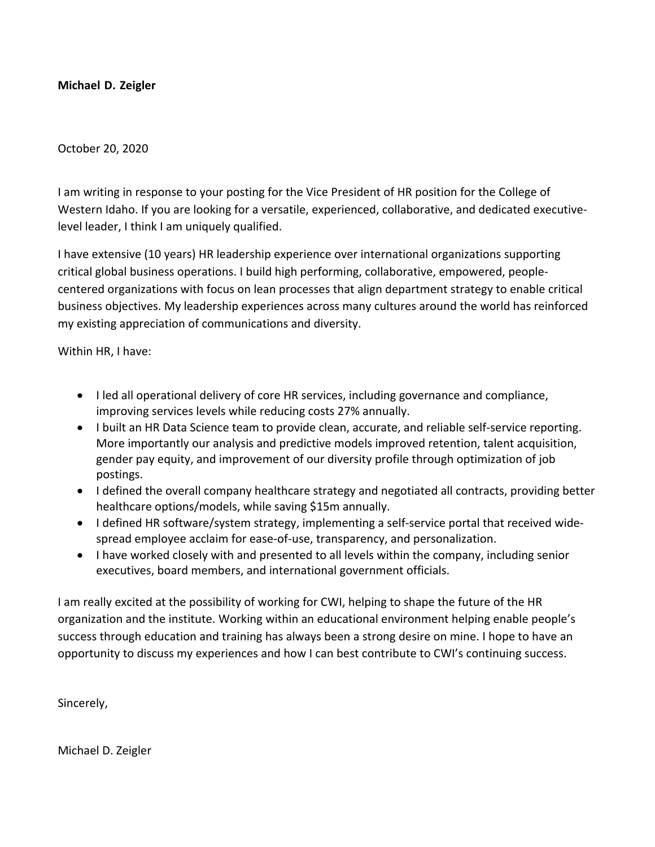# **Michael D. Zeigler**

# October 20, 2020

I am writing in response to your posting for the Vice President of HR position for the College of Western Idaho. If you are looking for a versatile, experienced, collaborative, and dedicated executivelevel leader, I think I am uniquely qualified.

I have extensive (10 years) HR leadership experience over international organizations supporting critical global business operations. I build high performing, collaborative, empowered, peoplecentered organizations with focus on lean processes that align department strategy to enable critical business objectives. My leadership experiences across many cultures around the world has reinforced my existing appreciation of communications and diversity.

Within HR, I have:

- I led all operational delivery of core HR services, including governance and compliance, improving services levels while reducing costs 27% annually.
- I built an HR Data Science team to provide clean, accurate, and reliable self-service reporting. More importantly our analysis and predictive models improved retention, talent acquisition, gender pay equity, and improvement of our diversity profile through optimization of job postings.
- I defined the overall company healthcare strategy and negotiated all contracts, providing better healthcare options/models, while saving \$15m annually.
- I defined HR software/system strategy, implementing a self-service portal that received widespread employee acclaim for ease-of-use, transparency, and personalization.
- I have worked closely with and presented to all levels within the company, including senior executives, board members, and international government officials.

I am really excited at the possibility of working for CWI, helping to shape the future of the HR organization and the institute. Working within an educational environment helping enable people's success through education and training has always been a strong desire on mine. I hope to have an opportunity to discuss my experiences and how I can best contribute to CWI's continuing success.

Sincerely,

Michael D. Zeigler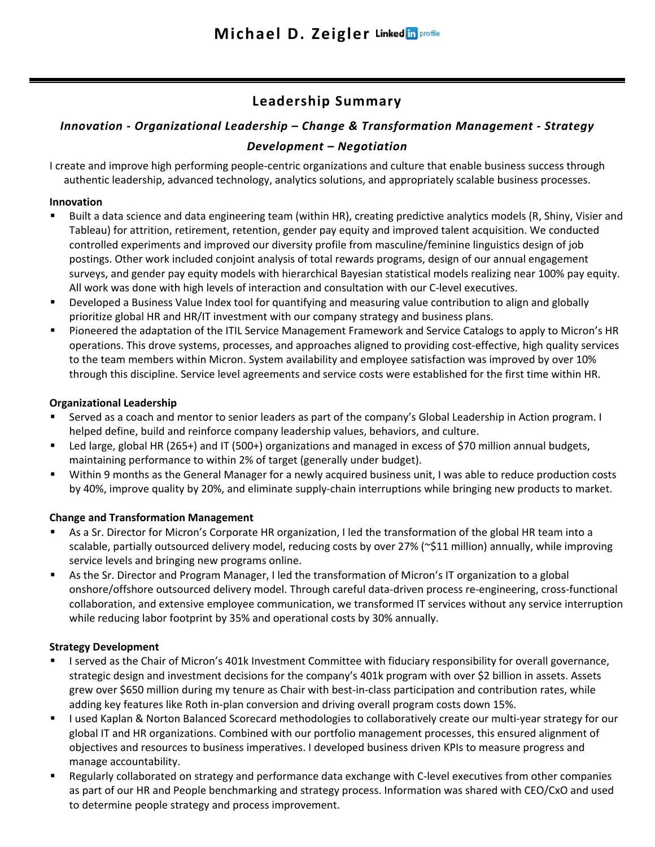# **Leadership Summary**

# *Innovation - Organizational Leadership – Change & Transformation Management - Strategy Development – Negotiation*

I create and improve high performing people-centric organizations and culture that enable business success through authentic leadership, advanced technology, analytics solutions, and appropriately scalable business processes.

### **Innovation**

- Built a data science and data engineering team (within HR), creating predictive analytics models (R, Shiny, Visier and Tableau) for attrition, retirement, retention, gender pay equity and improved talent acquisition. We conducted controlled experiments and improved our diversity profile from masculine/feminine linguistics design of job postings. Other work included conjoint analysis of total rewards programs, design of our annual engagement surveys, and gender pay equity models with hierarchical Bayesian statistical models realizing near 100% pay equity. All work was done with high levels of interaction and consultation with our C-level executives.
- Developed a Business Value Index tool for quantifying and measuring value contribution to align and globally prioritize global HR and HR/IT investment with our company strategy and business plans.
- Pioneered the adaptation of the ITIL Service Management Framework and Service Catalogs to apply to Micron's HR operations. This drove systems, processes, and approaches aligned to providing cost-effective, high quality services to the team members within Micron. System availability and employee satisfaction was improved by over 10% through this discipline. Service level agreements and service costs were established for the first time within HR.

#### **Organizational Leadership**

- Served as a coach and mentor to senior leaders as part of the company's Global Leadership in Action program. I helped define, build and reinforce company leadership values, behaviors, and culture.
- Led large, global HR (265+) and IT (500+) organizations and managed in excess of \$70 million annual budgets, maintaining performance to within 2% of target (generally under budget).
- Within 9 months as the General Manager for a newly acquired business unit, I was able to reduce production costs by 40%, improve quality by 20%, and eliminate supply-chain interruptions while bringing new products to market.

# **Change and Transformation Management**

- As a Sr. Director for Micron's Corporate HR organization, I led the transformation of the global HR team into a scalable, partially outsourced delivery model, reducing costs by over 27% (~\$11 million) annually, while improving service levels and bringing new programs online.
- As the Sr. Director and Program Manager, I led the transformation of Micron's IT organization to a global onshore/offshore outsourced delivery model. Through careful data-driven process re-engineering, cross-functional collaboration, and extensive employee communication, we transformed IT services without any service interruption while reducing labor footprint by 35% and operational costs by 30% annually.

# **Strategy Development**

- I served as the Chair of Micron's 401k Investment Committee with fiduciary responsibility for overall governance, strategic design and investment decisions for the company's 401k program with over \$2 billion in assets. Assets grew over \$650 million during my tenure as Chair with best-in-class participation and contribution rates, while adding key features like Roth in-plan conversion and driving overall program costs down 15%.
- I used Kaplan & Norton Balanced Scorecard methodologies to collaboratively create our multi-year strategy for our global IT and HR organizations. Combined with our portfolio management processes, this ensured alignment of objectives and resources to business imperatives. I developed business driven KPIs to measure progress and manage accountability.
- Regularly collaborated on strategy and performance data exchange with C-level executives from other companies as part of our HR and People benchmarking and strategy process. Information was shared with CEO/CxO and used to determine people strategy and process improvement.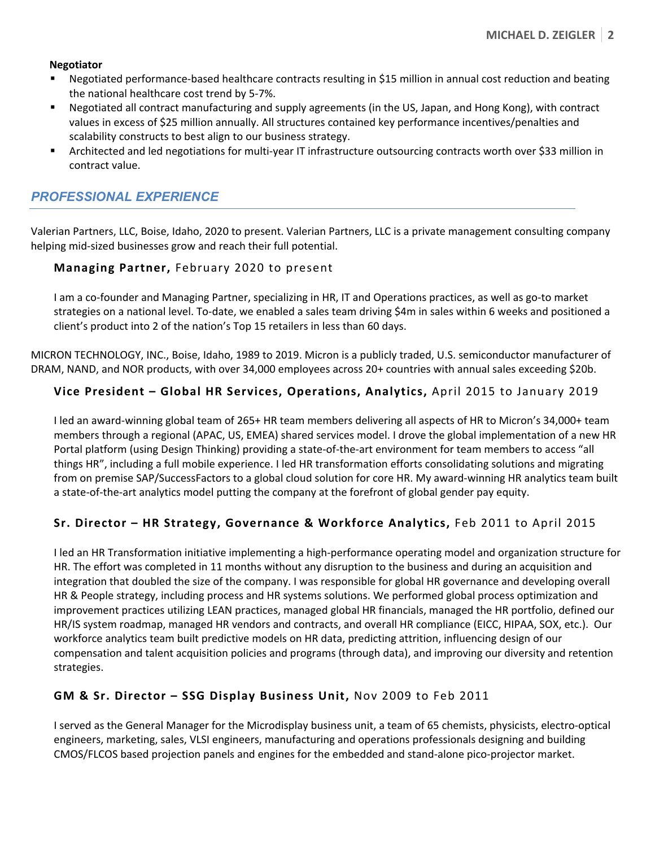#### **Negotiator**

- Negotiated performance-based healthcare contracts resulting in \$15 million in annual cost reduction and beating the national healthcare cost trend by 5-7%.
- Negotiated all contract manufacturing and supply agreements (in the US, Japan, and Hong Kong), with contract values in excess of \$25 million annually. All structures contained key performance incentives/penalties and scalability constructs to best align to our business strategy.
- Architected and led negotiations for multi-year IT infrastructure outsourcing contracts worth over \$33 million in contract value.

# *PROFESSIONAL EXPERIENCE*

Valerian Partners, LLC, Boise, Idaho, 2020 to present. Valerian Partners, LLC is a private management consulting company helping mid-sized businesses grow and reach their full potential.

#### **Managing Partner,** February 2020 to present

I am a co-founder and Managing Partner, specializing in HR, IT and Operations practices, as well as go-to market strategies on a national level. To-date, we enabled a sales team driving \$4m in sales within 6 weeks and positioned a client's product into 2 of the nation's Top 15 retailers in less than 60 days.

MICRON TECHNOLOGY, INC., Boise, Idaho, 1989 to 2019. Micron is a publicly traded, U.S. semiconductor manufacturer of DRAM, NAND, and NOR products, with over 34,000 employees across 20+ countries with annual sales exceeding \$20b.

#### **Vice President – Global HR Services, Operations, Analytics,** April 2015 to January 2019

I led an award-winning global team of 265+ HR team members delivering all aspects of HR to Micron's 34,000+ team members through a regional (APAC, US, EMEA) shared services model. I drove the global implementation of a new HR Portal platform (using Design Thinking) providing a state-of-the-art environment for team members to access "all things HR", including a full mobile experience. I led HR transformation efforts consolidating solutions and migrating from on premise SAP/SuccessFactors to a global cloud solution for core HR. My award-winning HR analytics team built a state-of-the-art analytics model putting the company at the forefront of global gender pay equity.

# **Sr. Director – HR Strategy, Governance & Workforce Analytics,** Feb 2011 to April 2015

I led an HR Transformation initiative implementing a high-performance operating model and organization structure for HR. The effort was completed in 11 months without any disruption to the business and during an acquisition and integration that doubled the size of the company. I was responsible for global HR governance and developing overall HR & People strategy, including process and HR systems solutions. We performed global process optimization and improvement practices utilizing LEAN practices, managed global HR financials, managed the HR portfolio, defined our HR/IS system roadmap, managed HR vendors and contracts, and overall HR compliance (EICC, HIPAA, SOX, etc.). Our workforce analytics team built predictive models on HR data, predicting attrition, influencing design of our compensation and talent acquisition policies and programs (through data), and improving our diversity and retention strategies.

# **GM & Sr. Director – SSG Display Business Unit,** Nov 2009 to Feb 2011

I served as the General Manager for the Microdisplay business unit, a team of 65 chemists, physicists, electro-optical engineers, marketing, sales, VLSI engineers, manufacturing and operations professionals designing and building CMOS/FLCOS based projection panels and engines for the embedded and stand-alone pico-projector market.